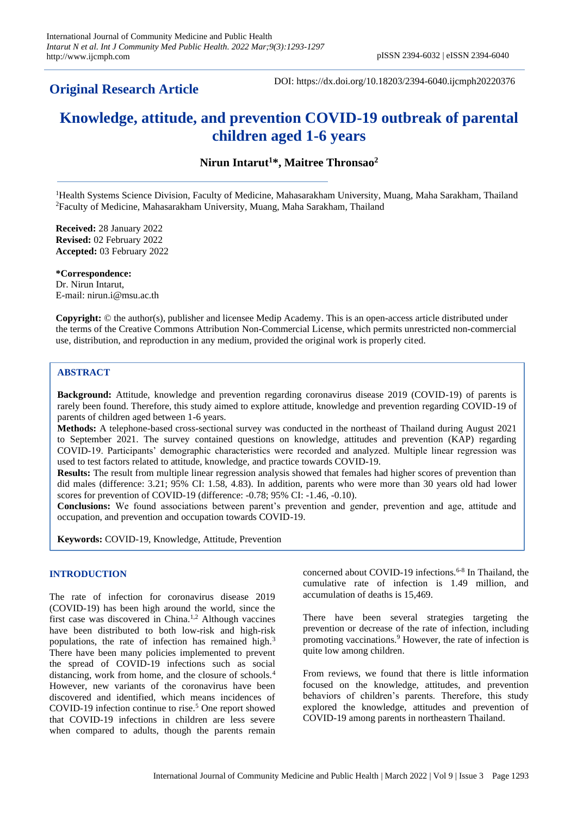# **Original Research Article**

DOI: https://dx.doi.org/10.18203/2394-6040.ijcmph20220376

# **Knowledge, attitude, and prevention COVID-19 outbreak of parental children aged 1-6 years**

**Nirun Intarut<sup>1</sup>\*, Maitree Thronsao<sup>2</sup>**

<sup>1</sup>Health Systems Science Division, Faculty of Medicine, Mahasarakham University, Muang, Maha Sarakham, Thailand <sup>2</sup>Faculty of Medicine, Mahasarakham University, Muang, Maha Sarakham, Thailand

**Received:** 28 January 2022 **Revised:** 02 February 2022 **Accepted:** 03 February 2022

**\*Correspondence:** Dr. Nirun Intarut, E-mail: nirun.i@msu.ac.th

**Copyright:** © the author(s), publisher and licensee Medip Academy. This is an open-access article distributed under the terms of the Creative Commons Attribution Non-Commercial License, which permits unrestricted non-commercial use, distribution, and reproduction in any medium, provided the original work is properly cited.

# **ABSTRACT**

**Background:** Attitude, knowledge and prevention regarding coronavirus disease 2019 (COVID-19) of parents is rarely been found. Therefore, this study aimed to explore attitude, knowledge and prevention regarding COVID-19 of parents of children aged between 1-6 years.

**Methods:** A telephone-based cross-sectional survey was conducted in the northeast of Thailand during August 2021 to September 2021. The survey contained questions on knowledge, attitudes and prevention (KAP) regarding COVID-19. Participants' demographic characteristics were recorded and analyzed. Multiple linear regression was used to test factors related to attitude, knowledge, and practice towards COVID-19.

**Results:** The result from multiple linear regression analysis showed that females had higher scores of prevention than did males (difference: 3.21; 95% CI: 1.58, 4.83). In addition, parents who were more than 30 years old had lower scores for prevention of COVID-19 (difference: -0.78; 95% CI: -1.46, -0.10).

**Conclusions:** We found associations between parent's prevention and gender, prevention and age, attitude and occupation, and prevention and occupation towards COVID-19.

**Keywords:** COVID-19, Knowledge, Attitude, Prevention

# **INTRODUCTION**

The rate of infection for coronavirus disease 2019 (COVID-19) has been high around the world, since the first case was discovered in China.<sup>1,2</sup> Although vaccines have been distributed to both low-risk and high-risk populations, the rate of infection has remained high.<sup>3</sup> There have been many policies implemented to prevent the spread of COVID-19 infections such as social distancing, work from home, and the closure of schools.<sup>4</sup> However, new variants of the coronavirus have been discovered and identified, which means incidences of COVID-19 infection continue to rise.<sup>5</sup> One report showed that COVID-19 infections in children are less severe when compared to adults, though the parents remain

concerned about COVID-19 infections.<sup>6-8</sup> In Thailand, the cumulative rate of infection is 1.49 million, and accumulation of deaths is 15,469.

There have been several strategies targeting the prevention or decrease of the rate of infection, including promoting vaccinations.<sup>9</sup> However, the rate of infection is quite low among children.

From reviews, we found that there is little information focused on the knowledge, attitudes, and prevention behaviors of children's parents. Therefore, this study explored the knowledge, attitudes and prevention of COVID-19 among parents in northeastern Thailand.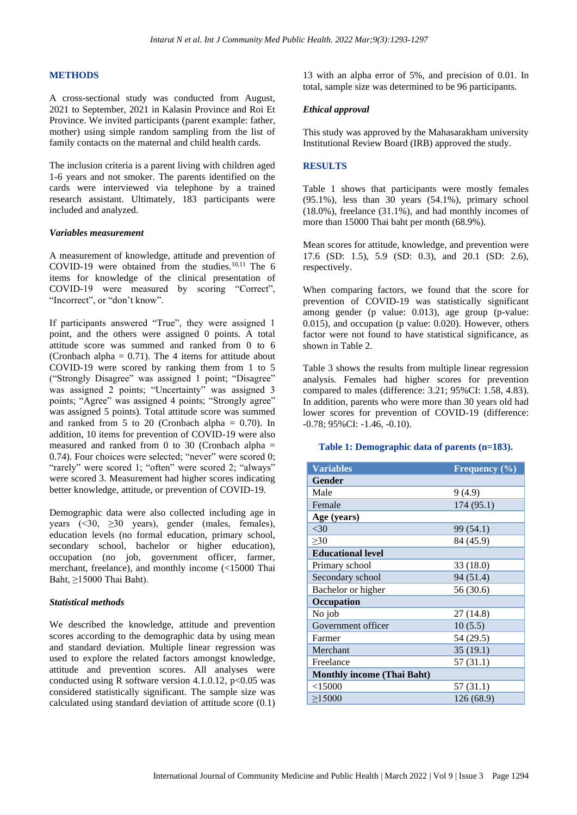#### **METHODS**

A cross-sectional study was conducted from August, 2021 to September, 2021 in Kalasin Province and Roi Et Province. We invited participants (parent example: father, mother) using simple random sampling from the list of family contacts on the maternal and child health cards.

The inclusion criteria is a parent living with children aged 1-6 years and not smoker. The parents identified on the cards were interviewed via telephone by a trained research assistant. Ultimately, 183 participants were included and analyzed.

#### *Variables measurement*

A measurement of knowledge, attitude and prevention of COVID-19 were obtained from the studies. $10,11$  The 6 items for knowledge of the clinical presentation of COVID-19 were measured by scoring "Correct", "Incorrect", or "don't know".

If participants answered "True", they were assigned 1 point, and the others were assigned 0 points. A total attitude score was summed and ranked from 0 to 6 (Cronbach alpha =  $0.71$ ). The 4 items for attitude about COVID-19 were scored by ranking them from 1 to 5 ("Strongly Disagree" was assigned 1 point; "Disagree" was assigned 2 points; "Uncertainty" was assigned 3 points; "Agree" was assigned 4 points; "Strongly agree" was assigned 5 points). Total attitude score was summed and ranked from 5 to 20 (Cronbach alpha  $= 0.70$ ). In addition, 10 items for prevention of COVID-19 were also measured and ranked from 0 to 30 (Cronbach alpha  $=$ 0.74). Four choices were selected; "never" were scored 0; "rarely" were scored 1; "often" were scored 2; "always" were scored 3. Measurement had higher scores indicating better knowledge, attitude, or prevention of COVID-19.

Demographic data were also collected including age in years (<30, ≥30 years), gender (males, females), education levels (no formal education, primary school, secondary school, bachelor or higher education), occupation (no job, government officer, farmer, merchant, freelance), and monthly income (<15000 Thai Baht, ≥15000 Thai Baht).

#### *Statistical methods*

We described the knowledge, attitude and prevention scores according to the demographic data by using mean and standard deviation. Multiple linear regression was used to explore the related factors amongst knowledge, attitude and prevention scores. All analyses were conducted using R software version 4.1.0.12,  $p<0.05$  was considered statistically significant. The sample size was calculated using standard deviation of attitude score (0.1)

13 with an alpha error of 5%, and precision of 0.01. In total, sample size was determined to be 96 participants.

#### *Ethical approval*

This study was approved by the Mahasarakham university Institutional Review Board (IRB) approved the study.

### **RESULTS**

Table 1 shows that participants were mostly females  $(95.1\%)$ , less than 30 years  $(54.1\%)$ , primary school (18.0%), freelance (31.1%), and had monthly incomes of more than 15000 Thai baht per month (68.9%).

Mean scores for attitude, knowledge, and prevention were 17.6 (SD: 1.5), 5.9 (SD: 0.3), and 20.1 (SD: 2.6), respectively.

When comparing factors, we found that the score for prevention of COVID-19 was statistically significant among gender (p value: 0.013), age group (p-value: 0.015), and occupation (p value: 0.020). However, others factor were not found to have statistical significance, as shown in Table 2.

Table 3 shows the results from multiple linear regression analysis. Females had higher scores for prevention compared to males (difference: 3.21; 95%CI: 1.58, 4.83). In addition, parents who were more than 30 years old had lower scores for prevention of COVID-19 (difference: -0.78; 95%CI: -1.46, -0.10).

#### **Table 1: Demographic data of parents (n=183).**

| <b>Variables</b>                  | <b>Frequency</b> $(\%)$ |  |  |  |
|-----------------------------------|-------------------------|--|--|--|
| Gender                            |                         |  |  |  |
| Male                              | 9(4.9)                  |  |  |  |
| Female                            | 174 (95.1)              |  |  |  |
| Age (years)                       |                         |  |  |  |
| $<$ 30                            | 99 (54.1)               |  |  |  |
| $\geq 30$                         | 84 (45.9)               |  |  |  |
| <b>Educational level</b>          |                         |  |  |  |
| Primary school                    | 33 (18.0)               |  |  |  |
| Secondary school                  | 94 (51.4)               |  |  |  |
| Bachelor or higher                | 56 (30.6)               |  |  |  |
| Occupation                        |                         |  |  |  |
| No job                            | 27 (14.8)               |  |  |  |
| Government officer                | 10(5.5)                 |  |  |  |
| Farmer                            | 54 (29.5)               |  |  |  |
| Merchant                          | 35(19.1)                |  |  |  |
| Freelance                         | 57(31.1)                |  |  |  |
| <b>Monthly income (Thai Baht)</b> |                         |  |  |  |
| $<$ 15000                         | 57(31.1)                |  |  |  |
| $\geq$ 15000                      | 126 (68.9)              |  |  |  |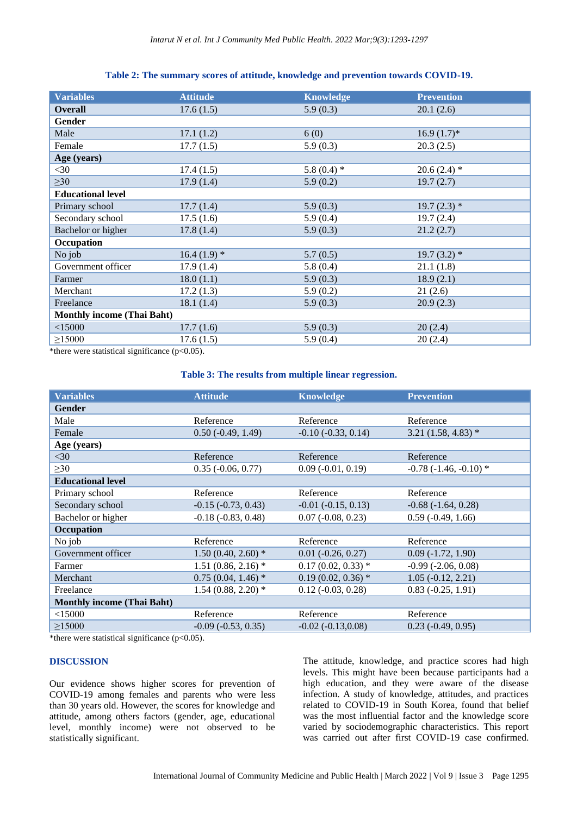### **Table 2: The summary scores of attitude, knowledge and prevention towards COVID-19.**

| <b>Variables</b>                                                                                                                                                                                                                               | <b>Attitude</b> | <b>Knowledge</b> | <b>Prevention</b> |  |  |  |
|------------------------------------------------------------------------------------------------------------------------------------------------------------------------------------------------------------------------------------------------|-----------------|------------------|-------------------|--|--|--|
| <b>Overall</b>                                                                                                                                                                                                                                 | 17.6(1.5)       | 5.9(0.3)         | 20.1(2.6)         |  |  |  |
| Gender                                                                                                                                                                                                                                         |                 |                  |                   |  |  |  |
| Male                                                                                                                                                                                                                                           | 17.1(1.2)       | 6(0)             | $16.9(1.7)$ *     |  |  |  |
| Female                                                                                                                                                                                                                                         | 17.7(1.5)       | 5.9(0.3)         | 20.3(2.5)         |  |  |  |
| Age (years)                                                                                                                                                                                                                                    |                 |                  |                   |  |  |  |
| $<$ 30                                                                                                                                                                                                                                         | 17.4(1.5)       | 5.8 (0.4) $*$    | $20.6(2.4)$ *     |  |  |  |
| $\geq 30$                                                                                                                                                                                                                                      | 17.9(1.4)       | 5.9(0.2)         | 19.7(2.7)         |  |  |  |
| <b>Educational level</b>                                                                                                                                                                                                                       |                 |                  |                   |  |  |  |
| Primary school                                                                                                                                                                                                                                 | 17.7(1.4)       | 5.9(0.3)         | $19.7(2.3)$ *     |  |  |  |
| Secondary school                                                                                                                                                                                                                               | 17.5(1.6)       | 5.9(0.4)         | 19.7(2.4)         |  |  |  |
| Bachelor or higher                                                                                                                                                                                                                             | 17.8(1.4)       | 5.9(0.3)         | 21.2(2.7)         |  |  |  |
| Occupation                                                                                                                                                                                                                                     |                 |                  |                   |  |  |  |
| No job                                                                                                                                                                                                                                         | $16.4(1.9)$ *   | 5.7(0.5)         | $19.7(3.2)$ *     |  |  |  |
| Government officer                                                                                                                                                                                                                             | 17.9(1.4)       | 5.8(0.4)         | 21.1(1.8)         |  |  |  |
| Farmer                                                                                                                                                                                                                                         | 18.0(1.1)       | 5.9(0.3)         | 18.9(2.1)         |  |  |  |
| Merchant                                                                                                                                                                                                                                       | 17.2(1.3)       | 5.9(0.2)         | 21(2.6)           |  |  |  |
| Freelance                                                                                                                                                                                                                                      | 18.1(1.4)       | 5.9(0.3)         | 20.9(2.3)         |  |  |  |
| <b>Monthly income (Thai Baht)</b>                                                                                                                                                                                                              |                 |                  |                   |  |  |  |
| $<$ 15000                                                                                                                                                                                                                                      | 17.7(1.6)       | 5.9(0.3)         | 20(2.4)           |  |  |  |
| $\geq$ 15000<br>and the contract of the contract of the contract of the contract of the contract of the contract of the contract of the contract of the contract of the contract of the contract of the contract of the contract of the contra | 17.6(1.5)       | 5.9(0.4)         | 20(2.4)           |  |  |  |

\*there were statistical significance (p<0.05).

# **Table 3: The results from multiple linear regression.**

| <b>Variables</b>                  | <b>Attitude</b>             | <b>Knowledge</b>            | <b>Prevention</b>           |
|-----------------------------------|-----------------------------|-----------------------------|-----------------------------|
| <b>Gender</b>                     |                             |                             |                             |
| Male                              | Reference                   | Reference                   | Reference                   |
| Female                            | $0.50(-0.49, 1.49)$         | $-0.10$ $(-0.33, 0.14)$     | $3.21(1.58, 4.83)$ *        |
| Age (years)                       |                             |                             |                             |
| $30$                              | Reference                   | Reference                   | Reference                   |
| $\geq 30$                         | $0.35$ ( $-0.06$ , $0.77$ ) | $0.09$ ( $-0.01$ , $0.19$ ) | $-0.78$ $(-1.46, -0.10)$ *  |
| <b>Educational level</b>          |                             |                             |                             |
| Primary school                    | Reference                   | Reference                   | Reference                   |
| Secondary school                  | $-0.15$ $(-0.73, 0.43)$     | $-0.01$ $(-0.15, 0.13)$     | $-0.68$ $(-1.64, 0.28)$     |
| Bachelor or higher                | $-0.18(-0.83, 0.48)$        | $0.07$ ( $-0.08$ , $0.23$ ) | $0.59$ ( $-0.49$ , $1.66$ ) |
| Occupation                        |                             |                             |                             |
| No job                            | Reference                   | Reference                   | Reference                   |
| Government officer                | $1.50(0.40, 2.60)$ *        | $0.01 (-0.26, 0.27)$        | $0.09(-1.72, 1.90)$         |
| Farmer                            | $1.51(0.86, 2.16)$ *        | $0.17(0.02, 0.33)$ *        | $-0.99$ $(-2.06, 0.08)$     |
| Merchant                          | $0.75(0.04, 1.46)^*$        | $0.19(0.02, 0.36)$ *        | $1.05(-0.12, 2.21)$         |
| Freelance                         | $1.54(0.88, 2.20)$ *        | $0.12 (-0.03, 0.28)$        | $0.83(-0.25, 1.91)$         |
| <b>Monthly income (Thai Baht)</b> |                             |                             |                             |
| $<$ 15000                         | Reference                   | Reference                   | Reference                   |
| $\geq 15000$                      | $-0.09(-0.53, 0.35)$        | $-0.02(-0.13,0.08)$         | $0.23$ ( $-0.49$ , $0.95$ ) |

\*there were statistical significance (p<0.05).

# **DISCUSSION**

Our evidence shows higher scores for prevention of COVID-19 among females and parents who were less than 30 years old. However, the scores for knowledge and attitude, among others factors (gender, age, educational level, monthly income) were not observed to be statistically significant.

The attitude, knowledge, and practice scores had high levels. This might have been because participants had a high education, and they were aware of the disease infection. A study of knowledge, attitudes, and practices related to COVID-19 in South Korea, found that belief was the most influential factor and the knowledge score varied by sociodemographic characteristics. This report was carried out after first COVID-19 case confirmed.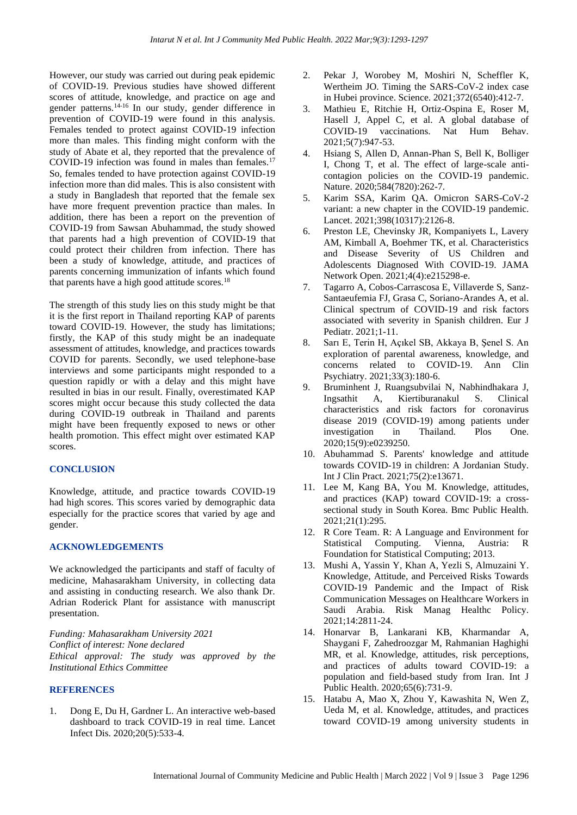However, our study was carried out during peak epidemic of COVID-19. Previous studies have showed different scores of attitude, knowledge, and practice on age and gender patterns.14-16 In our study, gender difference in prevention of COVID-19 were found in this analysis. Females tended to protect against COVID-19 infection more than males. This finding might conform with the study of Abate et al, they reported that the prevalence of COVID-19 infection was found in males than females.<sup>17</sup> So, females tended to have protection against COVID-19 infection more than did males. This is also consistent with a study in Bangladesh that reported that the female sex have more frequent prevention practice than males. In addition, there has been a report on the prevention of COVID-19 from Sawsan Abuhammad, the study showed that parents had a high prevention of COVID-19 that could protect their children from infection. There has been a study of knowledge, attitude, and practices of parents concerning immunization of infants which found that parents have a high good attitude scores. $18$ 

The strength of this study lies on this study might be that it is the first report in Thailand reporting KAP of parents toward COVID-19. However, the study has limitations; firstly, the KAP of this study might be an inadequate assessment of attitudes, knowledge, and practices towards COVID for parents. Secondly, we used telephone-base interviews and some participants might responded to a question rapidly or with a delay and this might have resulted in bias in our result. Finally, overestimated KAP scores might occur because this study collected the data during COVID-19 outbreak in Thailand and parents might have been frequently exposed to news or other health promotion. This effect might over estimated KAP scores.

#### **CONCLUSION**

Knowledge, attitude, and practice towards COVID-19 had high scores. This scores varied by demographic data especially for the practice scores that varied by age and gender.

# **ACKNOWLEDGEMENTS**

We acknowledged the participants and staff of faculty of medicine, Mahasarakham University, in collecting data and assisting in conducting research. We also thank Dr. Adrian Roderick Plant for assistance with manuscript presentation.

*Funding: Mahasarakham University 2021 Conflict of interest: None declared Ethical approval: The study was approved by the Institutional Ethics Committee*

#### **REFERENCES**

1. Dong E, Du H, Gardner L. An interactive web-based dashboard to track COVID-19 in real time. Lancet Infect Dis. 2020;20(5):533-4.

- 2. Pekar J, Worobey M, Moshiri N, Scheffler K, Wertheim JO. Timing the SARS-CoV-2 index case in Hubei province. Science. 2021;372(6540):412-7.
- 3. Mathieu E, Ritchie H, Ortiz-Ospina E, Roser M, Hasell J, Appel C, et al. A global database of COVID-19 vaccinations. Nat Hum Behav. 2021;5(7):947-53.
- 4. Hsiang S, Allen D, Annan-Phan S, Bell K, Bolliger I, Chong T, et al. The effect of large-scale anticontagion policies on the COVID-19 pandemic. Nature. 2020;584(7820):262-7.
- 5. Karim SSA, Karim QA. Omicron SARS-CoV-2 variant: a new chapter in the COVID-19 pandemic. Lancet. 2021;398(10317):2126-8.
- 6. Preston LE, Chevinsky JR, Kompaniyets L, Lavery AM, Kimball A, Boehmer TK, et al. Characteristics and Disease Severity of US Children and Adolescents Diagnosed With COVID-19. JAMA Network Open. 2021;4(4):e215298-e.
- 7. Tagarro A, Cobos-Carrascosa E, Villaverde S, Sanz-Santaeufemia FJ, Grasa C, Soriano-Arandes A, et al. Clinical spectrum of COVID-19 and risk factors associated with severity in Spanish children. Eur J Pediatr. 2021;1-11.
- 8. Sarı E, Terin H, Açıkel SB, Akkaya B, Şenel S. An exploration of parental awareness, knowledge, and concerns related to COVID-19. Ann Clin Psychiatry. 2021;33(3):180-6.
- 9. Bruminhent J, Ruangsubvilai N, Nabhindhakara J, Ingsathit A, Kiertiburanakul S. Clinical characteristics and risk factors for coronavirus disease 2019 (COVID-19) among patients under investigation in Thailand. Plos One. 2020;15(9):e0239250.
- 10. Abuhammad S. Parents' knowledge and attitude towards COVID-19 in children: A Jordanian Study. Int J Clin Pract. 2021;75(2):e13671.
- 11. Lee M, Kang BA, You M. Knowledge, attitudes, and practices (KAP) toward COVID-19: a crosssectional study in South Korea. Bmc Public Health. 2021;21(1):295.
- 12. R Core Team. R: A Language and Environment for Statistical Computing. Vienna, Austria: R Foundation for Statistical Computing; 2013.
- 13. Mushi A, Yassin Y, Khan A, Yezli S, Almuzaini Y. Knowledge, Attitude, and Perceived Risks Towards COVID-19 Pandemic and the Impact of Risk Communication Messages on Healthcare Workers in Saudi Arabia. Risk Manag Healthc Policy. 2021;14:2811-24.
- 14. Honarvar B, Lankarani KB, Kharmandar A, Shaygani F, Zahedroozgar M, Rahmanian Haghighi MR, et al. Knowledge, attitudes, risk perceptions, and practices of adults toward COVID-19: a population and field-based study from Iran. Int J Public Health. 2020;65(6):731-9.
- 15. Hatabu A, Mao X, Zhou Y, Kawashita N, Wen Z, Ueda M, et al. Knowledge, attitudes, and practices toward COVID-19 among university students in